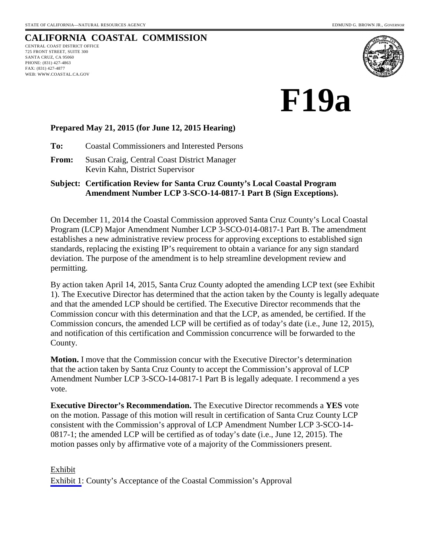# **CALIFORNIA COASTAL COMMISSION**

CENTRAL COAST DISTRICT OFFICE 725 FRONT STREET, SUITE 300 SANTA CRUZ, CA 95060 PHONE: (831) 427-4863 FAX: (831) 427-4877 WEB: WWW.COASTAL.CA.GOV



**F19a** 

#### **Prepared May 21, 2015 (for June 12, 2015 Hearing)**

**To:** Coastal Commissioners and Interested Persons

**From:** Susan Craig, Central Coast District Manager Kevin Kahn, District Supervisor

#### **Subject: Certification Review for Santa Cruz County's Local Coastal Program Amendment Number LCP 3-SCO-14-0817-1 Part B (Sign Exceptions).**

On December 11, 2014 the Coastal Commission approved Santa Cruz County's Local Coastal Program (LCP) Major Amendment Number LCP 3-SCO-014-0817-1 Part B. The amendment establishes a new administrative review process for approving exceptions to established sign standards, replacing the existing IP's requirement to obtain a variance for any sign standard deviation. The purpose of the amendment is to help streamline development review and permitting.

By action taken April 14, 2015, Santa Cruz County adopted the amending LCP text (see Exhibit 1). The Executive Director has determined that the action taken by the County is legally adequate and that the amended LCP should be certified. The Executive Director recommends that the Commission concur with this determination and that the LCP, as amended, be certified. If the Commission concurs, the amended LCP will be certified as of today's date (i.e., June 12, 2015), and notification of this certification and Commission concurrence will be forwarded to the County.

**Motion.** I move that the Commission concur with the Executive Director's determination that the action taken by Santa Cruz County to accept the Commission's approval of LCP Amendment Number LCP 3-SCO-14-0817-1 Part B is legally adequate. I recommend a yes vote.

**Executive Director's Recommendation.** The Executive Director recommends a **YES** vote on the motion. Passage of this motion will result in certification of Santa Cruz County LCP consistent with the Commission's approval of LCP Amendment Number LCP 3-SCO-14- 0817-1; the amended LCP will be certified as of today's date (i.e., June 12, 2015). The motion passes only by affirmative vote of a majority of the Commissioners present.

#### Exhibit [Exhibit 1](#page-1-0): County's Acceptance of the Coastal Commission's Approval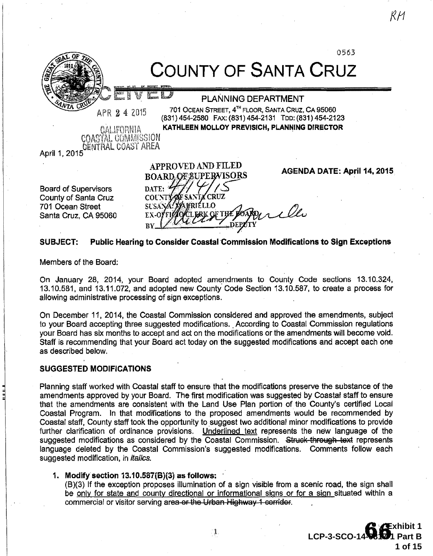<span id="page-1-0"></span>

County of Santa Cruz 701 Ocean Street Santa Cruz, CA 95060 **VRIÉLLO** irello ERK OF THE BOA

SUBJECT: Public Hearing to Consider Coastai·Commission Modifications to Sign Exceptions

Members of the Board:

On January 28, 2014, your Board adopted amendments to County Code sections 13.10.324, 13.10.581, and 13.11.072, and adopted new County· Code Section 13.10.587, to create a process for allowing administrative processing of sign exceptions.

On December 11, 2014, the Coastal Commission considered and approved the amendments, subject to your Board accepting three suggested modifications. According to Coastal Commission regulations your Board has six months to accept and act on the modifications or the amendments will become void. Staff is recommending that your Board act today on the suggested modifications and accept each one as described below.

#### SUGGESTED MODIFICATIONS

Planning staff worked with Coastal staff to ensure that the modifications preserve the substance of the amendments approved by your Board. The first modification was suggested by Coastal staff to ensure that the amendments are consistent with the Land Use Plan portion of the County's certified Local Coastal Program. In that modifications to the proposed amendments would be recommended by Coastal staff, County staff took the opportunity to suggest two additional minor modifications to provide further clarification of ordinance provisions. Underlined text represents the new language of the suggested modifications as considered by the Coastal Commission. Struck through text represents language deleted by the Coastal Commission's suggested modifications. Comments follow each suggested modification, in *italics*.

#### 1. Modify section  $13.10.587(B)(3)$  as follows:

(B)(3) If the exception proposes illumination of a sign visible from a scenic road, the sign shall be only for state and county directional or informational signs or for a sign situated within a commercial or visitor serving area or the Urban Highway 1 corridor.

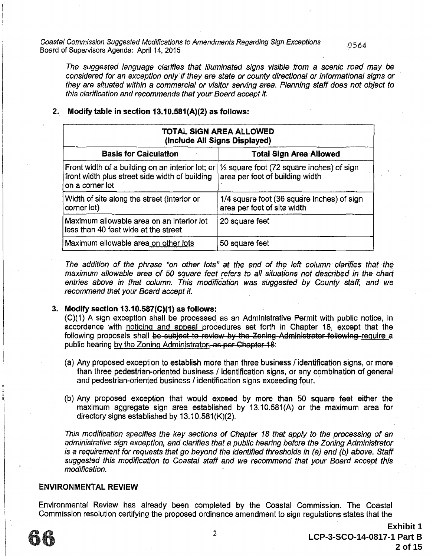Coastal Commission Suggested Modifications to Amendments Regarding Sign Exceptions 0 564 Board of Supervisors Agenda: April 14, 2015

The suggested language clarifies that illuminated signs visible from a scenic road may be considered for an exception only' if they are state or county directional or informational signs or they are situated within a commercial or visitor serving area. Planning staff does not object to this clarification and recommends that your Board accept it.

| <b>TOTAL SIGN AREA ALLOWED</b><br>(Include All Signs Displayed)                                                       |                                                                                         |  |  |
|-----------------------------------------------------------------------------------------------------------------------|-----------------------------------------------------------------------------------------|--|--|
| <b>Total Sign Area Allowed</b><br><b>Basis for Calculation</b>                                                        |                                                                                         |  |  |
| Front width of a building on an interior lot; or<br>front width plus street side width of building<br>on a corner lot | $\frac{1}{2}$ square foot (72 square inches) of sign<br>area per foot of building width |  |  |
| Width of site along the street (interior or<br>corner (ot)                                                            | 1/4 square foot (36 square inches) of sign<br>area per foot of site width               |  |  |
| Maximum allowable area on an interior lot<br>less than 40 feet wide at the street                                     | 20 square feet                                                                          |  |  |
| Maximum allowable area on other lots                                                                                  | 50 square feet                                                                          |  |  |

#### 2. Modify table in section  $13.10.581(A)(2)$  as follows:

The addition of the phrase "on other lots" at the end of the left column clarifies that the maximum allowable area of 50 square feet refers to all situations not described in the chart entries above in that column. This modification was suggested by County staff, and we recommend that your Board accept it.

#### 3. Modify section 13.10.587(C)(1} as follows:

(C)(1) A sign exception shall be processed as an Administrative Permit with public notice, in accordance with noticing and appeal procedures set forth in Chapter 18, except that the following proposals shall be subject to review by the Zoning Administrator following require a public hearing by the Zoning Administrator, as per Chapter 18:

- (a) Any proposed exception to establish more than three business /"identification signs, or more than three pedestrian-oriented business I identification signs, or any combination of general and pedestrian-oriented business / identification signs exceeding four.
- (b) Any proposed exception that would exceed by more than 50 square feet either the maximum aggregate sign area established by 13.10.581(A) or the maximum area for directory signs established by 13.10.581(K)(2).

This modification specifies the key sections of Chapter 18 that apply to the processing of an administrative sign exception, and clarifies that a public hearing before the Zoning Administrator is a requirement for requests that go beyond the identified thresholds in (a) and (b) above. Staff suggested this modification to Coastal staff and we recommend that your Board accept this modification.

#### ENVIRONMENTAL REVIEW

Environmental Review has already been completed by the Coastal Commission. The Coastal Commission resolution certifying the proposed ordinance amendment to sign regulations states that the

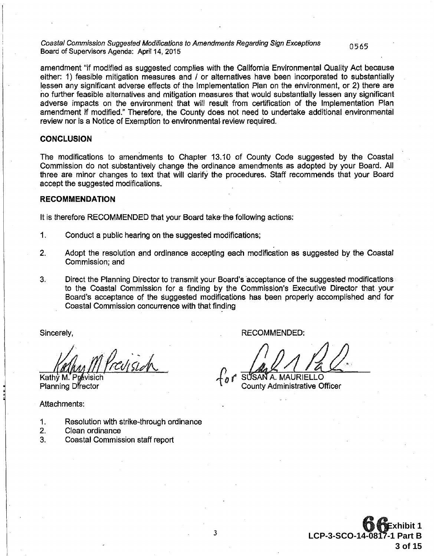Coastal Commission Suggested Modifications to Amendments Regarding Sign Exceptions 0 5 65<br>Board of Supervisors Agenda: April 14, 2015

amendment "if modified as suggested complies with the California Environmental Quality Act because either: 1) feasible mitigation measures and / or alternatives have been incorporated to substantially lessen any significant adverse effects of the Implementation Plan on the environment, or 2) there are no further feasible alternatives and mitigation measures that would substantially lessen any significant adverse impacts on the environment that will result from certification of the Implementation Plan amendment if modified." Therefore, the County does not need to undertake additional environmental review nor is a Notice of Exemption to environmental review required.

#### **CONCLUSION**

The modifications to amendments to Chapter 13.10 of County Code suggested by the Coastal Commission do not substantively change the ordinance amendments as adopted by your Board. All three are minor changes to text that will clarify the procedures. Staff recommends that your Board accept the suggested modifications.

#### RECOMMENDATION

It is therefore RECOMMENDED that your Board take-the following actions:

- 1. Conduct a public hearing on the suggested modifications;
- 2. Adopt the resolution and ordinance accepting each modification as suggested by the Coastal Commission; and
- 3. Direct the Planning Director to transmit your Board's acceptance of the suggested modifications to the Coastal Commission for a finding by the Commission's Executive Director that your Board's acceptance of the suggested modifications has been properly accomplished and for Coastal Commission concurrence with that finding

Sincerely,

Prevision

Kathv M. Planning Director

Attachments:

- 1. Resolution with strike~through ordinance
- 2. Clean ordinance
- 3. Coastal Commission staff report

RECOMMENDED:

*/))ddd* {o *(* S SA A. MAURIELLO County Administrative Officer

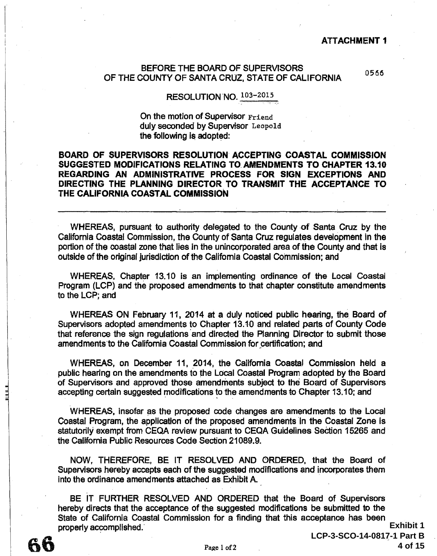#### ATTACHMENT 1

#### BEFORE THE BOARD OF SUPERVISORS OF THE COUNTY OF SANTA CRUZ, STATE OF CALIFORNIA 0566

### RESOLUTION NO. 103-2015

On the motion of Supervisor Friend duly seconded by Supervisor Leopold the following is adopted:

#### BOARD OF SUPERVISORS RESOLUTION ACCEPTING COASTAL COMMISSION SUGGESTED MODIFICATIONS RELATING TO.AMENDMENTS TO CHAPTER 13.10 REGARDING AN ADMINISTRATIVE PROCESS FOR SIGN EXCEPTIONS AND DIRECTING THE PLANNING DIRECTOR TO TRANSMIT THE ACCEPTANCE TO THE CALIFORNIA COASTAL COMMISSION

WHEREAS, pursuant to authority delegated to the County of Santa Cruz by the California Coastal Commission, the County of Santa Cruz regulates development in the portion of the coastal zone that lies in the unincorporated area of the County and that is outside of the original jurisdiction of the California Coastal Commission; and

WHEREAS, Chapter 13.10 is an implementing ordinance of the Local Coastal Program (LCP) and the proposed amendments to that chapter constitute amendments to the LCP; and

WHEREAS ON February 11, 2014 at a duly noticed public hearing, the Board of Supervisors adopted amendments to Chapter 13.10 and related parts of County Code that reference the sign regulations and directed the Planning Director to submit those amendments to the California Coastal Commission for certification; and

WHEREAS, on December 11, 2014, the California Coastal Commission held a public hearing on the amendments to the Local Coastal Program adopted by the Board of Supervisors and approved those amendments subject to the Board of Supervisors accepting certain suggested modifications to the amendments to Chapter 13.10; and

WHEREAS, insofar as the proposed code changes are amendments to the Local Coastal Program, the application of the proposed amendments in the Coastal Zone is statutorily exempt from CEQA review pursuant to CEQA Guidelines Section 15265 and the California Public Resources Code Section 21089.9.

NOW. THEREFORE, BE IT RESOLVED AND ORDERED, that the Board of Supervisors hereby accepts each of the suggested modifications and incorporates them into the ordinance amendments attached as Exhibit A.

BE IT FURTHER RESOLVED AND ORDERED that the Board of Supervisors hereby directs that the acceptance of the suggested modifications be submitted to the State of California Coastal Commission for a finding that this acceptance has been properly accomplished.

山山

**Exhibit 1 LCP-3-SCO-14-0817-1 Part B 4 of 15**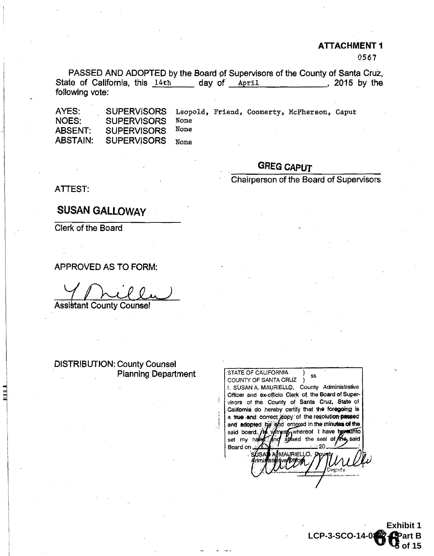#### ATTACHMENT 1

0567

PASSED AND ADOPTED by the Board of Supervisors of the County of Santa Cruz, State of California, this 14th day of April , 2015 by the following vote:

AYES: NOES: ABSENT: ABSTAIN: SUPERVISORS Leopold, Friend, Coonerty, McPherson, Caput<br>SUPERVISORS None SUPERVISORS None **SUPERVISORS** SUPERVISORS None

# GREG CAPUT

Chairperson of the Board of Supervisors

ATTEST:

SUSAN GALlOWAY

Clerk of the Board

APPROVED AS TO FORM:

Assistant County Counsel

DISTRIBUTION: County Counsel Planning Department

STATE OF CALIFORNIA SS COUNTY OF SANTA CRUZ ) I. SUSAN A. MAURIELLO, County Administrative Officer and ex-officio Clerk of the Board of Supervisors of the County of Santa Cruz, State of California do hereby certify that the foregoing is a true and correct copy of the resolution passed a new and **adopted** by shall entered in the minutes of the<br>said board. The whitest whereof I have hereafthoset my heavy and attack the seal of the said Board on, MAURIELLO. Depirty

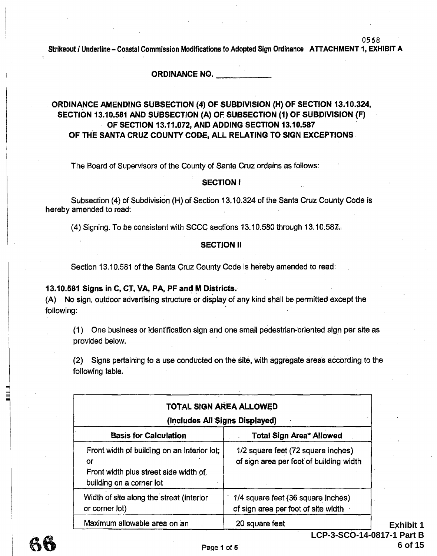#### ORDINANCE NO.

#### ORDINANCE AMENDING SUBSECTION (4) OF SUBDIVISION (H) OF SECTION 13.10.324, SECTION 13.10.581 AND SUBSECTION (A) OF SUBSECTION (1) OF SUBDIVISION (F) OF SECTION 13.11.072, AND ADDING SECTION 13.10.587 OF THE SANTA CRUZ COUNTY CODE, ALL RELATING TO SIGN EXCEPTIONS

The Board of Supervisors of the County of Santa Cruz ordains as follows:

#### SECTION I

Subsection (4) of Subdivision (H) of Section 13.10.324 of the Santa Cruz County Code is hereby amended to read:

(4) Signing. To be consistent with SCCC sections  $13.10.580$  through  $13.10.587\%$ 

#### SECTION II

Section 13.10.581 of the Santa Cruz County Code is hereby amended to read:

#### 13.10.581 Signs in C, CT, VA, PA, PF and M Districts.

{A) No sign, outdoor advertising structure or display of any kind shall be permitted except the following:

(1) One business or identification sign and one small pedestrian-oriented sign per site as provided below.

(2) Signs pertaining to a use conducted on the site, with aggregate areas aecording to the following table.

| TOTAL SIGN AREA ALLOWED<br>(Includes All Signs Displayed)                                                              |                                                                               |  |  |
|------------------------------------------------------------------------------------------------------------------------|-------------------------------------------------------------------------------|--|--|
| <b>Basis for Calculation</b><br><b>Total Sign Area* Allowed</b>                                                        |                                                                               |  |  |
| Front width of building on an interior fot;<br>or<br>Front width plus street side width of<br>building on a corner lot | 1/2 square feet (72 square inches)<br>of sign area per foot of building width |  |  |
| Width of site along the street (interior<br>or corner lot)                                                             | 1/4 square feet (36 square inches)<br>of sign area per foot of site width     |  |  |
| Maximum allowable area on an                                                                                           | 20 square feet                                                                |  |  |

**Exhibit 1 LCP-3-SCO-14-0817-1 Part B 6 of 15**

0508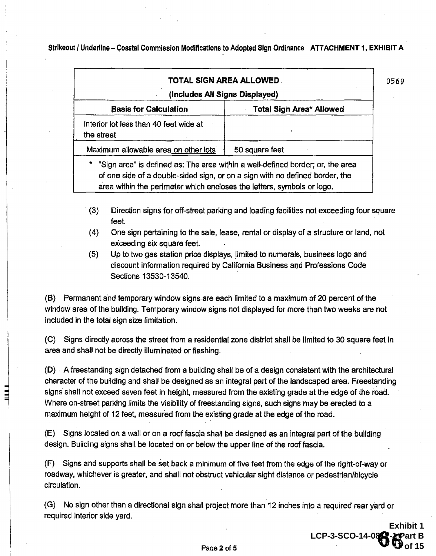| TOTAL SIGN AREA ALLOWED.                                                                                                                                   |                                                                              |  |
|------------------------------------------------------------------------------------------------------------------------------------------------------------|------------------------------------------------------------------------------|--|
| (Includes All Signs Displayed)                                                                                                                             |                                                                              |  |
| <b>Basis for Calculation</b>                                                                                                                               | Total Sign Area* Allowed                                                     |  |
| interior lot less than 40 feet wide at<br>the street                                                                                                       |                                                                              |  |
| Maximum allowable area on other lots                                                                                                                       | 50 square feet                                                               |  |
| * "Sign area" is defined as: The area within a well-defined border; or, the area<br>area within the perimeter which encloses the letters, symbols or logo. | of one side of a double-sided sign, or on a sign with no defined border, the |  |

- · (3) Direction signs for off-street parking and loadrng facilities not exceeding four square feet.
- (4} One sign pertaining to the sale, lease, rental or display of a structure or land, not exceeding six square feet.
- (5) Up to two gas station price displays, limited to numerals, business logo and discount information required by California Business and Professions Code Sections 13530-13540.

(B) Permanent and temporary window signs are each limited to a maximum of 20 percent of the window area of the building. Temporary window signs not displayed for more than two weeks are not included in the total sign size limitation.

(C) Signs directly across the street from a residential zone district shall be limited to 30 square feet in area and shall not be directly illuminated or flashing.

(D) . A freestanding sign detached from a building shall be of a design consistent with the architectural character of the building and shall be designed as an integral part of the landscaped area. Freestanding signs· shall not exceed seven feet in height, measured from the existing grade at the edge of the road. Where on-street parking limits the visibility of freestanding signs, such signs may be erected to a maximum height of 12 feet, measured from the existing grade at the edge of the road.

i<br>III<br>III

(E) Signs located on a wall or on a roof fascia shall be designed as an integral part of the building design. Building signs shall be located on or below the upper line of the roof fascia.

(F) Signs and supports shall be set back a minimum of five feet from the edge of the right-of-way or roadway, whichever is greater, and shall not obstruct vehicular sight distance or pedestrian/bicycle circulation.

(G) No sign other than a directional sign shall project more than 12 inches into a required rear yard or required interior side yard.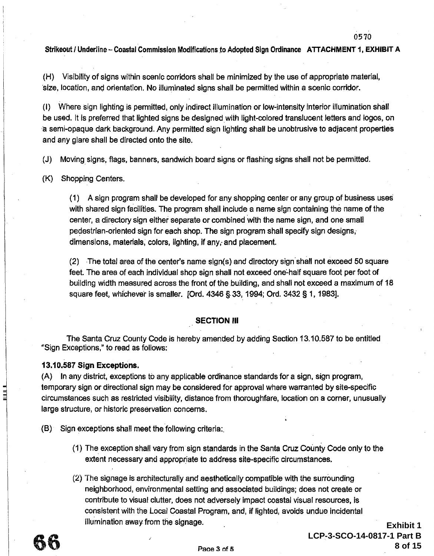(H) Visibility of signs within scenic corridors shall be minimized by the use of appropriate material, ·size, location, and orientation. No illuminated signs shall be permitted within a scenic corridor.

(I) Where sign lighting is permitted, only indirect illumination or low-intensity interior illumination shall be used. It is preferred that lighted signs be designed with light-colored translucent letters and logos, on a semi-opaque dark background. Any permitted sign lighting shall be unobtrusive to adjacent properties and any glare shall be directed onto the site.

(J) Moving. signs, flags, banners, sandwich board signs or flashing signs shall not be permitted.

(K) Shopping Centers.

{1) A sign program shall be developed for any shopping center or any group of business uses with shared sign facilities. The program shall include a name sign containing the name of the center, a directory sign either separate or combined with the name sign, and one small pedestrian-oriented sign for each shop. The sign program shall specify sign designs,. dimensions, materials, colors, lighting, if any, and placement.

 $(2)$  The total area of the center's name sign $(s)$  and directory sign shall not exceed 50 square feet. The area of each individual shop sign shall not exceed one-half square foot per foot of building width measured across the front of the building, and shall not exceed a maximum of 18 square feet, whichever is smaller. [Ord. 4346 § 33, 1994; Ord. 3432 § 1, 1983].

#### SECTION Ill

The Santa Cruz County Code is hereby amended by adding Section 13.10.587 to be entitled "Sign Exceptions," to read as follows:

#### 13.1 0.587 Sign Exceptions.

(A) In any district, exceptions to any applicable ordinance standards for a sign, sign program, temporary sign or directional sign may be considered for approval where warranted by site-specific circumstances such as restricted visibility, distance from thoroughfare, location on a corner, unusually large structure, or historic preservation concerns.

(B) Sign exceptions shall meet the following criteria:.

- (1) The exception shall vary from sign standards in the Santa Cruz County Code only to the extent necessary and appropriate to address site-specific circumstances.
- (2) "fhe signage is architecturally and aesthetically compatible with the surrounding neighborhood, environmental setting and associated buildings; does not create or contribute to visual clutter, does not adversely impact coastal visual resources, is consistent with the Local Coastal Program, and, if lighted, avoids undue incidental illumination away from the signage.

0570

**Exhibit 1** 

**8 of 15**

**LCP-3-SCO-14-0817-1 Part B**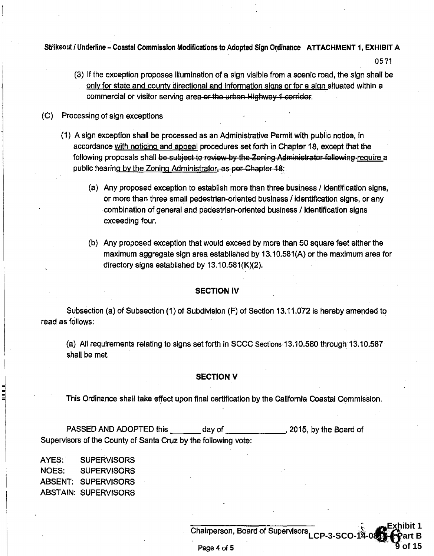(3) If the exception proposes illumination of a sign visible from a scenic road, the sign shall be only for state and county directional and information signs or for a sign situated within a commercial or visitor serving area-er the urban-Highway 1-corridor.

05'71

**Exhibit 1** 

**9 of 15**

- (C) Processing of sign exceptions
	- (1) A sign exception shall be processed as an Administrative Permit with public notice, in accordance with noticing and appeal procedures set forth in Chapter 18, except that the following proposals shall be subject to review by the Zoning Administrator following require a public hearing by the Zoning Administrator. as per Chapter 18.
		- (a) Any proposed exception to establish more than three business I identification signs, or more than three small pedestrian-oriented business I identification signs, or any .combination of general and pedestrian-oriented business I identification signs exceeding four.
		- (b) Any proposed exception that would exceed by more than 50 square feet either the maximum aggregate sign area established by 13.10.581(A) or the maximum area for directory signs established by  $13.10.581(K)(2)$ .

#### SECTION IV

Subsection (a) of Subsection (1) of Subdivision  $(F)$  of Section 13.11.072 is hereby amended to read as follows:

(a) All requirements relating to signs set forth in SCCC Sections 13.10.580 through 13.10.587 shall be met.

#### SECTION V

This Ordinance shall take effect upon final certification by the California Coastal Commission.

PASSED AND ADOPTED this day of the 3015, by the Board of Supervisors of the County of Santa Cruz by the following vote:

A YES: . SUPERVISORS NOES: SUPERVISORS ABSENT: SUPERVISORS ABSTAIN: SUPERVISORS

> Chairperson, Board of Supervisors **LCP-3-SCO-14-0817-1 Part B**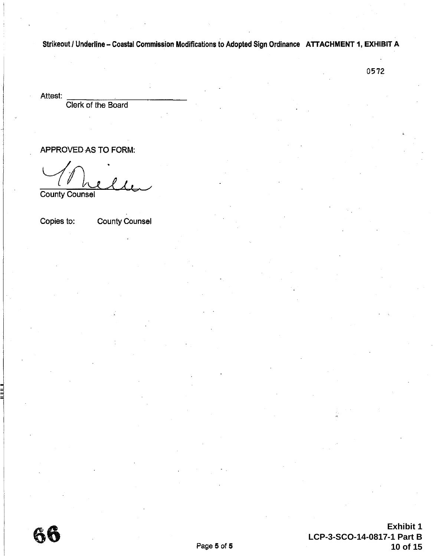0572

Attest:<br>Clerk of the Board

APPROVED AS TO FORM:

*L(* /1\--t~ L6-/ County Counsel

Copies to: County Counsel

66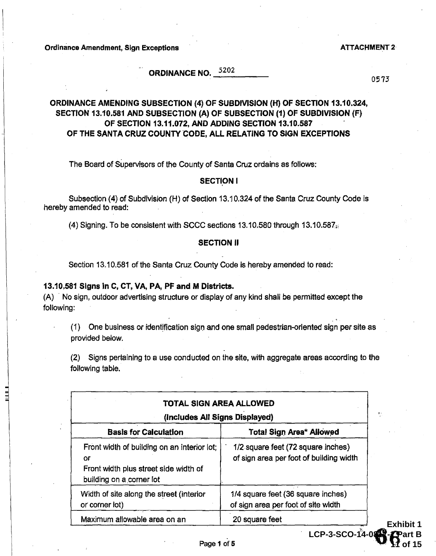Ordinance Amendment, Sign Exceptions ATTACHMENT 2

# ORDINANCE NO.  $5202$ 5202

0573

**Exhibit 1** 

**11 of 15**

**LCP-3-SCO-14-0817-1 Part B** 

#### ORDINANCE AMENDING SUBSECTION {4) OF SUBDIVISION (H) OF SECTION 13.10.324, SECTION 13.10.581 AND SUBSECTION (A) OF SUBSECTION (1) OF SUBDIVISION (F) OF SECTION 13.11.072, AND ADDING SECTION 13.10.587 . OF THE SANTA CRUZ COUNTY CODE, ALL RELATING TO SIGN EXCEPTIONS

The Board of Supervisors of the County of Santa Cruz ordains as follows:

#### SECTION I

Subsection (4) of Subdivision (H) of Section 13.10.324 of the Santa Cruz County Code is hereby amended to read:

(4) Signing. To be consistent with SCCC sections 13.10.580 through 13.10.587,;

#### SECTION II

Section 13.10.581 of the Santa Cruz County Code is hereby amended to read:

#### 13.10.581 Signs in C, CT, VA, PA, PF and M Districts.

(A) · No sign, outdoor advertising structure or display of any kind shall be permitted except the following:

(1) One business or identification sign and one small pedestrian-oriented sign per site as provided below.

(2.) Signs pertaining to a use conducted on the site, with aggregate areas according to the following table.

| (Includes All Signs Displayed)                                                                                         |                                                                               |  |
|------------------------------------------------------------------------------------------------------------------------|-------------------------------------------------------------------------------|--|
| <b>Basis for Calculation</b>                                                                                           | <b>Total Sign Area* Allowed</b>                                               |  |
| Front width of building on an interior lot;<br>Οſ<br>Front width plus street side width of<br>building on a corner lot | 1/2 square feet (72 square inches)<br>of sign area per foot of building width |  |
| Width of site along the street (interior<br>or corner lot)                                                             | 1/4 square feet (36 square inches)<br>of sign area per foot of site width     |  |
| Maximum allowable area on an                                                                                           | 20 square feet                                                                |  |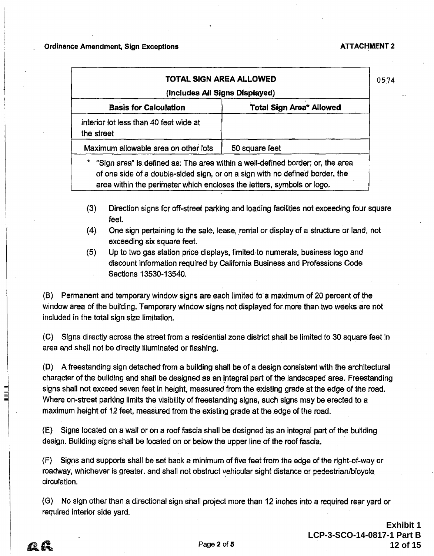| TOTAL SIGN AREA ALLOWED<br>(Includes All Signs Displayed)                   |                                                                                                                                                                | 0574 |
|-----------------------------------------------------------------------------|----------------------------------------------------------------------------------------------------------------------------------------------------------------|------|
| <b>Basis for Calculation</b>                                                | <b>Total Sign Area* Allowed</b>                                                                                                                                |      |
| interior lot less than 40 feet wide at<br>the street                        |                                                                                                                                                                |      |
| Maximum allowable area on other lots                                        | 50 square feet                                                                                                                                                 |      |
| *<br>area within the perimeter which encloses the letters, symbols or logo. | "Sign area" is defined as: The area within a well-defined border; or, the area<br>of one side of a double-sided sign, or on a sign with no defined border, the |      |

- (3) Direction signs for off-street parking .and loading facilities not exceeding four square feet.
- (4) One sign pertaining to the sale, lease, rental or display of a structure or land, not exceeding six square feet.
- $(5)$  Up to two gas station price displays, ilmited to numerals, business logo and discount information required by California Business and Professions Code Sections 13530-13540.

(B) Permanent and temporary window signs are each limited to a maximum of 20 percent of the window area of the building. Temporary window signs not displayed for more than two weeks are not included in the total sign size limitation.

(C) Signs directly across the street from a residential zone district shall be limited to 30 square feet in area and shall not be directly illuminated or flashing.

(D) A freestanding sign detached from a building shall be of a design consistent with the architectural character of the building and shall be designed as an integral part of the landscaped area. Freestanding signs shall not exceed seven feet in height, measured from the existing grade at the edge of the road. Where on-street parking limits the visibility of freestanding signs, such signs may be erected to a maximum height of 12 feet, measured from the existing grade at the edge of the road.

(E) Signs located on a wall or on a roof fascia shall be designed as an integral part of the building design. Building signs shall be located on or below the upper line of the roof fascia.

 $(F)$  Signs and supports shall be set back a minimum of five feet from the edge of the right-of-way or roadway, whichever is greater, and shall not obstruct vehicular sight distance or pedestrian/bicycle circulation.

(G) No sign other than a directional sign shall project more than 12 inches into a required rear yard or required interior side yard.

12 G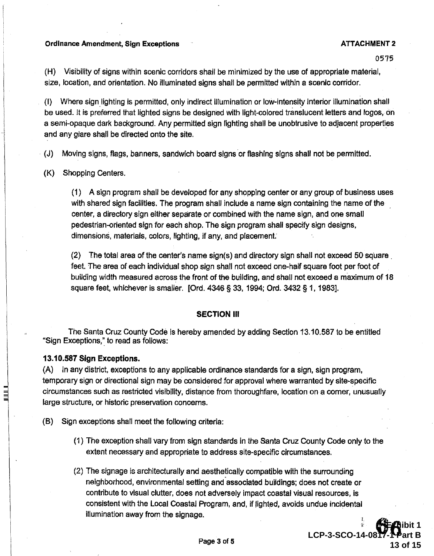#### Ordinance Amendment, Sign Exceptions and ATTACHMENT 2

0575

(H) Visibility of signs within scenic corridors shall be minimized by the use of appropriate material, size, location, and orientation. No illuminated signs shall be permitted within a scenic corridor.

(I) Where sign lighting is permitted, only indirect illumination or low-intensity interior illumination shall be used. It is preferred that lighted signs be designed with light-colored translucent letters and logos, on a semi-opaque dark background. Any permitted sign lighting shall be unobtrusive to adjacent properties and any glare shall be directed onto the site.

· (J) Moving signs, flags, banners, sandwich board signs or flashing signs shall not be permitted.

(K) Shopping Centers.

(1) A sign program shall be developed for any shopping center or any group of business uses with shared sign facilities. The program shall include a name sign containing the name of the center, a directory sign either separate or combined with the name sign, and one small pedestrian-oriented sign for each shop. The sign program shall specify sign designs, dimensions, materials, colors, lighting, if any, and placement:

 $(2)$  The total area of the center's name sign(s) and directory sign shall not exceed 50 square. feet. The area of each individual shop sign shall not exceed one-half square foot per foot of building width measured across the front of the building, and shall not exceed a maximum of 18 square feet, whichever is smaller. [Ord. 4346 § 33, 1994; Ord. 3432 § 1, 1983].

#### SECTION Ill

The Santa Cruz County Code is hereby amended by adding Section 13.10.587 to be entitled "Sign Exceptions," to read as follows:

#### 13.10.587 Sign Exceptions.

(A) In any district, exceptions to any applicable ordinance standards for a sign, sign program, temporary sign or directional sign may be considered for approval where warranted by site-specific circumstances such as restricted visibility, distance from thoroughfare, location on a comer, unusually large structure, or historic preservation concerns.

- (B) Sign exceptions shall meet the following criteria:
	- (1) The exception shall vary from sign standards in the Santa Cruz County Code only to the extent necessary and appropriate to address site-specific circumstances.
	- (2) The signage is architecturally and aesthetically compatibie with the surrounding neighborhood, environmental setting and associated buildings; does not create or contribute to visual clutter, does not adversely impact coastal visual resources, is consistent with the Local Coastal Program, and, if lighted, avoids undue incidental illumination away from the signage.

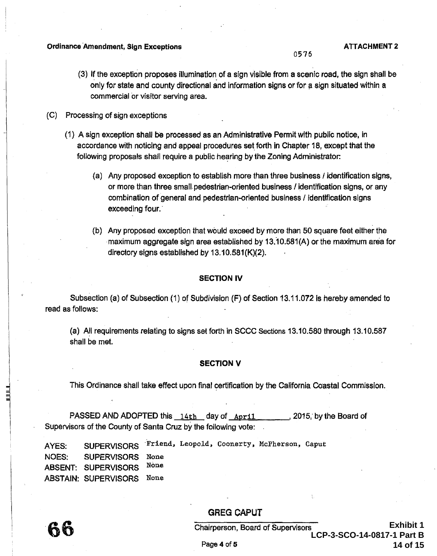#### Ordinance Amendment, Sign Exceptions ATIACHMENT 2

- (3) If the exception proposes illumination of a sign visible from a scenic road, the sign shall be only for state and county directional and information signs or for a sign situated within a commercial or visitor serving area.
- (C) Processing of sign exceptions
	- (1) A sign exception shall be processed as an Administrative Permit with public notice, in accordance with noticing and appeal procedures set forth in Chapter 18, except that the following proposals shall require a public hearing by the Zoning Administrator:
		- {a) Any proposed exception to establish more than three business I identification signs, or more than three small. pedestrian-oriented business I identification signs, or any combination of general and pedestrian-oriented business / identification signs exceeding four.
		- (b) Any proposed exception that would exceed by more than 50 square feet either the ·maximum aggregate sign area established by 13.10.581(A) or the maximum area for directory signs established by  $13.10.581(K)(2)$ .

#### SECTION IV

Subsection (a) of Subsection (1) of Subdivision (F) of Section 13.11.072 is hereby amended to read as follows:

(a) A!l requirements relating to signs set forth in SCCC Sections 13.10.580 through 13.10.587 shall be met.

#### SECTION V

This Ordinance shall take effect upon final certification by the California Coastal Commission.

PASSED AND ADOPTED this  $14th$  day of  $\Delta\text{pril}$  , 2015, by the Board of Supervisors of the County of Santa Cruz by the following vote:

| AYES: | SUPERVISORS Friend, Leopold, Coonerty, McPherson, Caput |  |  |  |
|-------|---------------------------------------------------------|--|--|--|
|       | NOES: SUPERVISORS None                                  |  |  |  |
|       | ABSENT: SUPERVISORS None                                |  |  |  |
|       | ABSTAIN: SUPERVISORS None                               |  |  |  |

GREG CAPUT

山山

Chairperson, Board of Supervisors

**Exhibit 1 LCP-3-SCO-14-0817-1 Part B 14 of 15**

0576